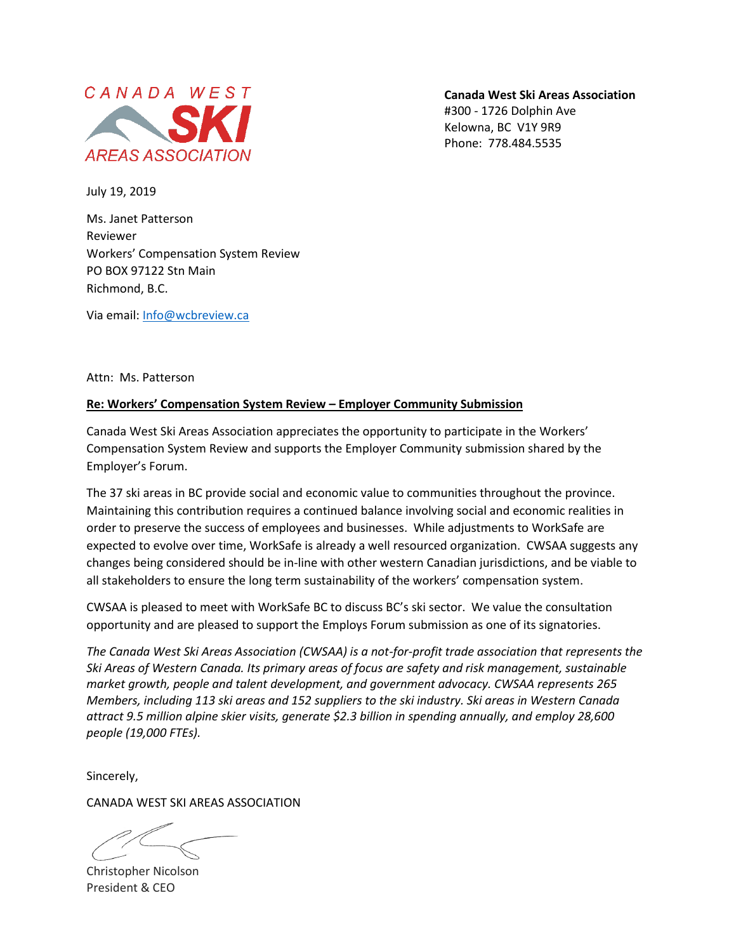

**Canada West Ski Areas Association** #300 - 1726 Dolphin Ave Kelowna, BC V1Y 9R9 Phone: 778.484.5535

July 19, 2019

Ms. Janet Patterson Reviewer Workers' Compensation System Review PO BOX 97122 Stn Main Richmond, B.C.

Via email[: Info@wcbreview.ca](mailto:Info@wcbreview.ca)

Attn: Ms. Patterson

## **Re: Workers' Compensation System Review – Employer Community Submission**

Canada West Ski Areas Association appreciates the opportunity to participate in the Workers' Compensation System Review and supports the Employer Community submission shared by the Employer's Forum.

The 37 ski areas in BC provide social and economic value to communities throughout the province. Maintaining this contribution requires a continued balance involving social and economic realities in order to preserve the success of employees and businesses. While adjustments to WorkSafe are expected to evolve over time, WorkSafe is already a well resourced organization. CWSAA suggests any changes being considered should be in-line with other western Canadian jurisdictions, and be viable to all stakeholders to ensure the long term sustainability of the workers' compensation system.

CWSAA is pleased to meet with WorkSafe BC to discuss BC's ski sector. We value the consultation opportunity and are pleased to support the Employs Forum submission as one of its signatories.

*The Canada West Ski Areas Association (CWSAA) is a not-for-profit trade association that represents the Ski Areas of Western Canada. Its primary areas of focus are safety and risk management, sustainable market growth, people and talent development, and government advocacy. CWSAA represents 265 Members, including 113 ski areas and 152 suppliers to the ski industry. Ski areas in Western Canada attract 9.5 million alpine skier visits, generate \$2.3 billion in spending annually, and employ 28,600 people (19,000 FTEs).*

Sincerely,

CANADA WEST SKI AREAS ASSOCIATION

Christopher Nicolson President & CEO